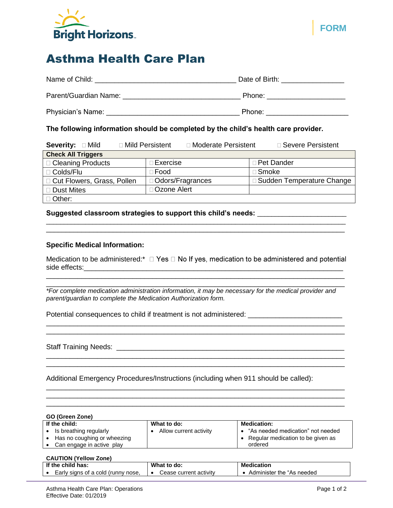

# Asthma Health Care Plan

| Name of Child:        | Date of Birth: |
|-----------------------|----------------|
| Parent/Guardian Name: | Phone:         |
| Physician's Name:     | Phone:         |

# **The following information should be completed by the child's health care provider.**

| Severity: <b>Dides</b>       | □ Mild Persistent<br>□ Moderate Persistent | □ Severe Persistent         |  |
|------------------------------|--------------------------------------------|-----------------------------|--|
| <b>Check All Triggers</b>    |                                            |                             |  |
| □ Cleaning Products          | Exercise                                   | □ Pet Dander                |  |
| □ Colds/Flu                  | ∃Food                                      | $\Box$ Smoke                |  |
| □ Cut Flowers, Grass, Pollen | □ Odors/Fragrances                         | □ Sudden Temperature Change |  |
| □ Dust Mites                 | <b>Ozone Alert</b>                         |                             |  |
| $\Box$ Other:                |                                            |                             |  |

#### **Suggested classroom strategies to support this child's needs:** \_\_\_\_\_\_\_\_\_\_\_\_\_\_\_\_\_\_\_\_\_\_\_\_\_

# **Specific Medical Information:**

Medication to be administered:\*  $\Box$  Yes  $\Box$  No If yes, medication to be administered and potential side effects:

\_\_\_\_\_\_\_\_\_\_\_\_\_\_\_\_\_\_\_\_\_\_\_\_\_\_\_\_\_\_\_\_\_\_\_\_\_\_\_\_\_\_\_\_\_\_\_\_\_\_\_\_\_\_\_\_\_\_\_\_\_\_\_\_\_\_\_\_\_\_\_\_\_\_\_\_ \_\_\_\_\_\_\_\_\_\_\_\_\_\_\_\_\_\_\_\_\_\_\_\_\_\_\_\_\_\_\_\_\_\_\_\_\_\_\_\_\_\_\_\_\_\_\_\_\_\_\_\_\_\_\_\_\_\_\_\_\_\_\_\_\_\_\_\_\_\_\_\_\_\_\_\_

\_\_\_\_\_\_\_\_\_\_\_\_\_\_\_\_\_\_\_\_\_\_\_\_\_\_\_\_\_\_\_\_\_\_\_\_\_\_\_\_\_\_\_\_\_\_\_\_\_\_\_\_\_\_\_\_\_\_\_\_\_\_\_\_\_\_\_\_\_\_\_\_\_\_\_\_

*\*For complete medication administration information, it may be necessary for the medical provider and parent/guardian to complete the Medication Authorization form.*

\_\_\_\_\_\_\_\_\_\_\_\_\_\_\_\_\_\_\_\_\_\_\_\_\_\_\_\_\_\_\_\_\_\_\_\_\_\_\_\_\_\_\_\_\_\_\_\_\_\_\_\_\_\_\_\_\_\_\_\_\_\_\_\_\_\_\_\_\_\_\_\_\_\_\_\_

\_\_\_\_\_\_\_\_\_\_\_\_\_\_\_\_\_\_\_\_\_\_\_\_\_\_\_\_\_\_\_\_\_\_\_\_\_\_\_\_\_\_\_\_\_\_\_\_\_\_\_\_\_\_\_\_\_\_\_\_\_\_\_\_\_\_\_\_\_\_\_\_\_\_\_\_

\_\_\_\_\_\_\_\_\_\_\_\_\_\_\_\_\_\_\_\_\_\_\_\_\_\_\_\_\_\_\_\_\_\_\_\_\_\_\_\_\_\_\_\_\_\_\_\_\_\_\_\_\_\_\_\_\_\_\_\_\_\_\_\_\_\_\_\_\_\_\_\_\_\_\_\_ \_\_\_\_\_\_\_\_\_\_\_\_\_\_\_\_\_\_\_\_\_\_\_\_\_\_\_\_\_\_\_\_\_\_\_\_\_\_\_\_\_\_\_\_\_\_\_\_\_\_\_\_\_\_\_\_\_\_\_\_\_\_\_\_\_\_\_\_\_\_\_\_\_\_\_\_ \_\_\_\_\_\_\_\_\_\_\_\_\_\_\_\_\_\_\_\_\_\_\_\_\_\_\_\_\_\_\_\_\_\_\_\_\_\_\_\_\_\_\_\_\_\_\_\_\_\_\_\_\_\_\_\_\_\_\_\_\_\_\_\_\_\_\_\_\_\_\_\_\_\_\_\_

 $\mathcal{L}_\text{max} = \mathcal{L}_\text{max} = \mathcal{L}_\text{max} = \mathcal{L}_\text{max} = \mathcal{L}_\text{max} = \mathcal{L}_\text{max} = \mathcal{L}_\text{max} = \mathcal{L}_\text{max} = \mathcal{L}_\text{max} = \mathcal{L}_\text{max} = \mathcal{L}_\text{max} = \mathcal{L}_\text{max} = \mathcal{L}_\text{max} = \mathcal{L}_\text{max} = \mathcal{L}_\text{max} = \mathcal{L}_\text{max} = \mathcal{L}_\text{max} = \mathcal{L}_\text{max} = \mathcal{$ 

Potential consequences to child if treatment is not administered:

Staff Training Needs: **Example 20** and the state of the state of the state of the state of the state of the state of the state of the state of the state of the state of the state of the state of the state of the state of t

Additional Emergency Procedures/Instructions (including when 911 should be called):

| GO (Green Zone) |                             |                        |                                     |
|-----------------|-----------------------------|------------------------|-------------------------------------|
|                 | If the child:               | What to do:            | <b>Medication:</b>                  |
|                 | Is breathing regularly      | Allow current activity | • "As needed medication" not needed |
|                 | Has no coughing or wheezing |                        | • Regular medication to be given as |
|                 | Can engage in active play   |                        | ordered                             |

# **CAUTION (Yellow Zone)**

| If the child has:                  | What to do:            | <b>Medication</b>         |
|------------------------------------|------------------------|---------------------------|
| Early signs of a cold (runny nose, | Cease current activity | Administer the "As needed |